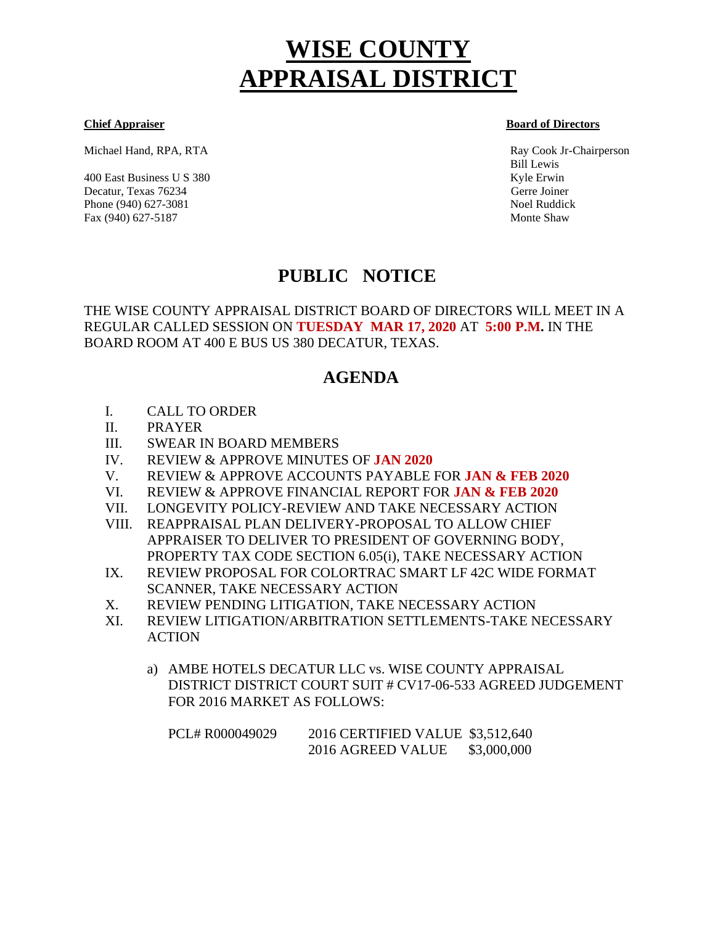# **WISE COUNTY APPRAISAL DISTRICT**

Michael Hand, RPA, RTA Ray Cook Jr-Chairperson

400 East Business U S 380 Kyle Erwin Kyle Erwin Kyle Erwin Kyle Erwin Kyle Erwin Kyle Erwin Kyle Erwin Kyle Erwin Kyle Erwin Kyle Erwin Kyle Erwin Kyle Erwin Kyle Erwin Kyle Erwin Kyle Erwin Kyle Erwin Kyle Erwin Kyle Erwi Decatur, Texas 76234 Gerre Joiner Phone (940) 627-3081 Noel Ruddick Fax (940) 627-5187 Monte Shaw

**Chief Appraiser Board of Directors** 

Bill Lewis

# **PUBLIC NOTICE**

THE WISE COUNTY APPRAISAL DISTRICT BOARD OF DIRECTORS WILL MEET IN A REGULAR CALLED SESSION ON **TUESDAY MAR 17, 2020** AT **5:00 P.M.** IN THE BOARD ROOM AT 400 E BUS US 380 DECATUR, TEXAS.

# **AGENDA**

- I. CALL TO ORDER
- II. PRAYER
- III. SWEAR IN BOARD MEMBERS
- IV. REVIEW & APPROVE MINUTES OF **JAN 2020**
- V. REVIEW & APPROVE ACCOUNTS PAYABLE FOR **JAN & FEB 2020**
- VI. REVIEW & APPROVE FINANCIAL REPORT FOR **JAN & FEB 2020**
- VII. LONGEVITY POLICY-REVIEW AND TAKE NECESSARY ACTION
- VIII. REAPPRAISAL PLAN DELIVERY-PROPOSAL TO ALLOW CHIEF APPRAISER TO DELIVER TO PRESIDENT OF GOVERNING BODY, PROPERTY TAX CODE SECTION 6.05(i), TAKE NECESSARY ACTION
- IX. REVIEW PROPOSAL FOR COLORTRAC SMART LF 42C WIDE FORMAT SCANNER, TAKE NECESSARY ACTION
- X. REVIEW PENDING LITIGATION, TAKE NECESSARY ACTION
- XI. REVIEW LITIGATION/ARBITRATION SETTLEMENTS-TAKE NECESSARY ACTION
	- a) AMBE HOTELS DECATUR LLC vs. WISE COUNTY APPRAISAL DISTRICT DISTRICT COURT SUIT # CV17-06-533 AGREED JUDGEMENT FOR 2016 MARKET AS FOLLOWS:

| PCL#R000049029 | 2016 CERTIFIED VALUE \$3,512,640 |             |
|----------------|----------------------------------|-------------|
|                | 2016 AGREED VALUE                | \$3,000,000 |